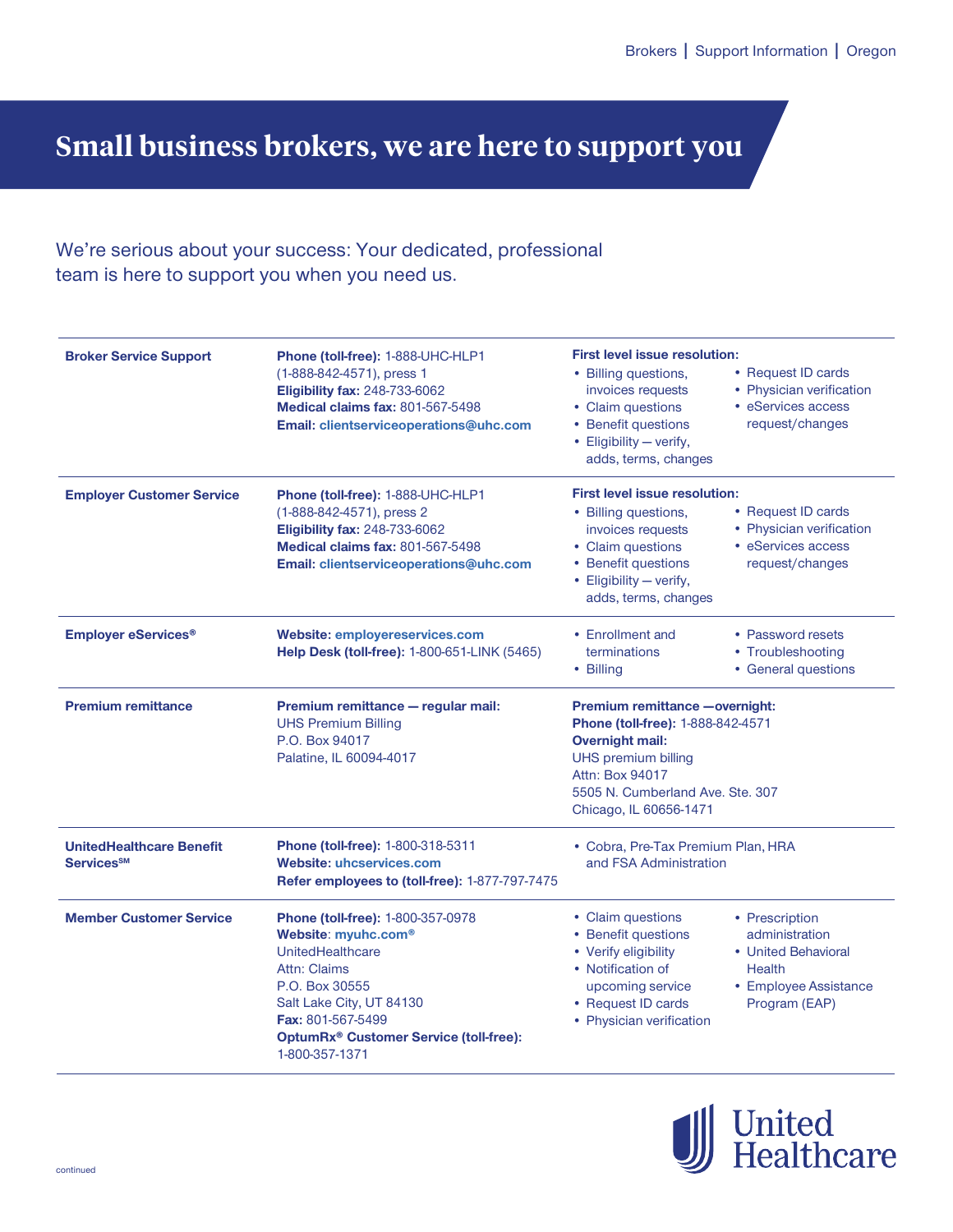## **Small business brokers, we are here to support you**

## We're serious about your success: Your dedicated, professional team is here to support you when you need us.

| <b>Broker Service Support</b>                                    | Phone (toll-free): 1-888-UHC-HLP1<br>(1-888-842-4571), press 1<br><b>Eligibility fax: 248-733-6062</b><br><b>Medical claims fax: 801-567-5498</b><br>Email: clientserviceoperations@uhc.com                                             | <b>First level issue resolution:</b><br>• Billing questions,<br>• Request ID cards<br>• Physician verification<br>invoices requests<br>• eServices access<br>• Claim questions<br>• Benefit questions<br>request/changes<br>• Eligibility - verify,<br>adds, terms, changes       |  |
|------------------------------------------------------------------|-----------------------------------------------------------------------------------------------------------------------------------------------------------------------------------------------------------------------------------------|-----------------------------------------------------------------------------------------------------------------------------------------------------------------------------------------------------------------------------------------------------------------------------------|--|
| <b>Employer Customer Service</b>                                 | Phone (toll-free): 1-888-UHC-HLP1<br>(1-888-842-4571), press 2<br><b>Eligibility fax: 248-733-6062</b><br><b>Medical claims fax: 801-567-5498</b><br>Email: clientserviceoperations@uhc.com                                             | <b>First level issue resolution:</b><br>• Request ID cards<br>• Billing questions,<br>• Physician verification<br>invoices requests<br>• eServices access<br>• Claim questions<br>• Benefit questions<br>request/changes<br>• Eligibility - verify,<br>adds, terms, changes       |  |
| <b>Employer eServices<sup>®</sup></b>                            | <b>Website: employereservices.com</b><br>Help Desk (toll-free): 1-800-651-LINK (5465)                                                                                                                                                   | • Enrollment and<br>• Password resets<br>terminations<br>• Troubleshooting<br>• Billing<br>• General questions                                                                                                                                                                    |  |
| <b>Premium remittance</b>                                        | Premium remittance - regular mail:<br><b>UHS Premium Billing</b><br>P.O. Box 94017<br>Palatine, IL 60094-4017                                                                                                                           | Premium remittance - overnight:<br>Phone (toll-free): 1-888-842-4571<br><b>Overnight mail:</b><br><b>UHS premium billing</b><br><b>Attn: Box 94017</b><br>5505 N. Cumberland Ave. Ste. 307<br>Chicago, IL 60656-1471                                                              |  |
| <b>UnitedHealthcare Benefit</b><br><b>Services</b> <sup>SM</sup> | Phone (toll-free): 1-800-318-5311<br><b>Website: uhcservices.com</b><br>Refer employees to (toll-free): 1-877-797-7475                                                                                                                  | • Cobra, Pre-Tax Premium Plan, HRA<br>and FSA Administration                                                                                                                                                                                                                      |  |
| <b>Member Customer Service</b>                                   | Phone (toll-free): 1-800-357-0978<br>Website: myuhc.com®<br>UnitedHealthcare<br>Attn: Claims<br>P.O. Box 30555<br>Salt Lake City, UT 84130<br>Fax: 801-567-5499<br>OptumRx <sup>®</sup> Customer Service (toll-free):<br>1-800-357-1371 | • Claim questions<br>• Prescription<br>• Benefit questions<br>administration<br>• Verify eligibility<br>• United Behavioral<br>• Notification of<br><b>Health</b><br>• Employee Assistance<br>upcoming service<br>• Request ID cards<br>Program (EAP)<br>• Physician verification |  |